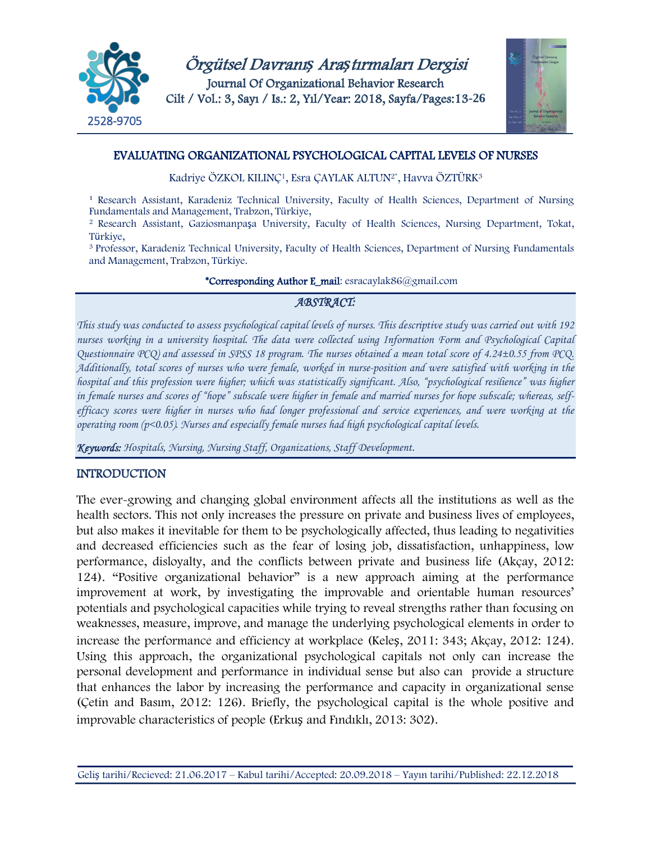



# EVALUATING ORGANIZATIONAL PSYCHOLOGICAL CAPITAL LEVELS OF NURSES

Kadriye ÖZKOL KILINÇ<sup>1</sup>, Esra ÇAYLAK ALTUN<sup>2\*</sup>, Havva ÖZTÜRK<sup>3</sup>

<sup>1</sup> Research Assistant, Karadeniz Technical University, Faculty of Health Sciences, Department of Nursing Fundamentals and Management, Trabzon, Türkiye,

<sup>2</sup> Research Assistant, Gaziosmanpaşa University, Faculty of Health Sciences, Nursing Department, Tokat, Türkiye,

<sup>3</sup> Professor, Karadeniz Technical University, Faculty of Health Sciences, Department of Nursing Fundamentals and Management, Trabzon, Türkiye.

#### \*Corresponding Author E\_mail: esracaylak86@gmail.com

# *ABSTRACT:*

*This study was conducted to assess psychological capital levels of nurses. This descriptive study was carried out with 192 nurses working in a university hospital. The data were collected using Information Form and Psychological Capital Questionnaire PCQ) and assessed in SPSS 18 program. The nurses obtained a mean total score of 4.24±0.55 from PCQ. Additionally, total scores of nurses who were female, worked in nurse-position and were satisfied with working in the hospital and this profession were higher; which was statistically significant. Also, "psychological resilience" was higher in female nurses and scores of "hope" subscale were higher in female and married nurses for hope subscale; whereas, selfefficacy scores were higher in nurses who had longer professional and service experiences, and were working at the operating room (p<0.05). Nurses and especially female nurses had high psychological capital levels.*

*Keywords: Hospitals, Nursing, Nursing Staff, Organizations, Staff Development.*

# **INTRODUCTION**

The ever-growing and changing global environment affects all the institutions as well as the health sectors. This not only increases the pressure on private and business lives of employees, but also makes it inevitable for them to be psychologically affected, thus leading to negativities and decreased efficiencies such as the fear of losing job, dissatisfaction, unhappiness, low performance, disloyalty, and the conflicts between private and business life (Akçay, 2012: 124). "Positive organizational behavior" is a new approach aiming at the performance improvement at work, by investigating the improvable and orientable human resources' potentials and psychological capacities while trying to reveal strengths rather than focusing on weaknesses, measure, improve, and manage the underlying psychological elements in order to increase the performance and efficiency at workplace (Keleş, 2011: 343; Akçay, 2012: 124). Using this approach, the organizational psychological capitals not only can increase the personal development and performance in individual sense but also can provide a structure that enhances the labor by increasing the performance and capacity in organizational sense (Çetin and Basım, 2012: 126). Briefly, the psychological capital is the whole positive and improvable characteristics of people (Erkuş and Fındıklı, 2013: 302).

Geliş tarihi/Recieved: 21.06.2017 – Kabul tarihi/Accepted: 20.09.2018 – Yayın tarihi/Published: 22.12.2018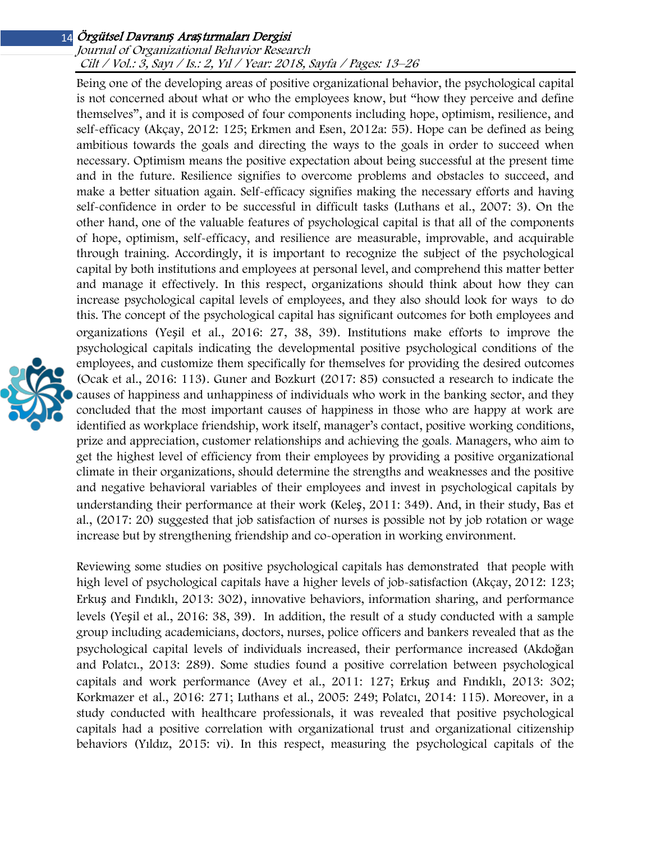#### Journal of Organizational Behavior Research Cilt / Vol.: 3, Sayı / Is.: 2, Yıl / Year: 2018, Sayfa / Pages: 13–26

Being one of the developing areas of positive organizational behavior, the psychological capital is not concerned about what or who the employees know, but "how they perceive and define themselves", and it is composed of four components including hope, optimism, resilience, and self-efficacy (Akçay, 2012: 125; Erkmen and Esen, 2012a: 55). Hope can be defined as being ambitious towards the goals and directing the ways to the goals in order to succeed when necessary. Optimism means the positive expectation about being successful at the present time and in the future. Resilience signifies to overcome problems and obstacles to succeed, and make a better situation again. Self-efficacy signifies making the necessary efforts and having self-confidence in order to be successful in difficult tasks (Luthans et al., 2007: 3). On the other hand, one of the valuable features of psychological capital is that all of the components of hope, optimism, self-efficacy, and resilience are measurable, improvable, and acquirable through training. Accordingly, it is important to recognize the subject of the psychological capital by both institutions and employees at personal level, and comprehend this matter better and manage it effectively. In this respect, organizations should think about how they can increase psychological capital levels of employees, and they also should look for ways to do this. The concept of the psychological capital has significant outcomes for both employees and organizations (Yeşil et al., 2016: 27, 38, 39). Institutions make efforts to improve the psychological capitals indicating the developmental positive psychological conditions of the employees, and customize them specifically for themselves for providing the desired outcomes (Ocak et al., 2016: 113). Guner and Bozkurt (2017: 85) consucted a research to indicate the causes of happiness and unhappiness of individuals who work in the banking sector, and they concluded that the most important causes of happiness in those who are happy at work are identified as workplace friendship, work itself, manager's contact, positive working conditions, prize and appreciation, customer relationships and achieving the goals. Managers, who aim to get the highest level of efficiency from their employees by providing a positive organizational climate in their organizations, should determine the strengths and weaknesses and the positive and negative behavioral variables of their employees and invest in psychological capitals by understanding their performance at their work (Keleş, 2011: 349). And, in their study, Bas et al., (2017: 20) suggested that job satisfaction of nurses is possible not by job rotation or wage increase but by strengthening friendship and co-operation in working environment.

Reviewing some studies on positive psychological capitals has demonstrated that people with high level of psychological capitals have a higher levels of job-satisfaction (Akçay, 2012: 123; Erkuş and Fındıklı, 2013: 302), innovative behaviors, information sharing, and performance levels (Yeşil et al., 2016: 38, 39). In addition, the result of a study conducted with a sample group including academicians, doctors, nurses, police officers and bankers revealed that as the psychological capital levels of individuals increased, their performance increased (Akdoğan and Polatcı., 2013: 289). Some studies found a positive correlation between psychological capitals and work performance (Avey et al., 2011: 127; Erkuş and Fındıklı, 2013: 302; Korkmazer et al., 2016: 271; Luthans et al., 2005: 249; Polatcı, 2014: 115). Moreover, in a study conducted with healthcare professionals, it was revealed that positive psychological capitals had a positive correlation with organizational trust and organizational citizenship behaviors (Yıldız, 2015: vi). In this respect, measuring the psychological capitals of the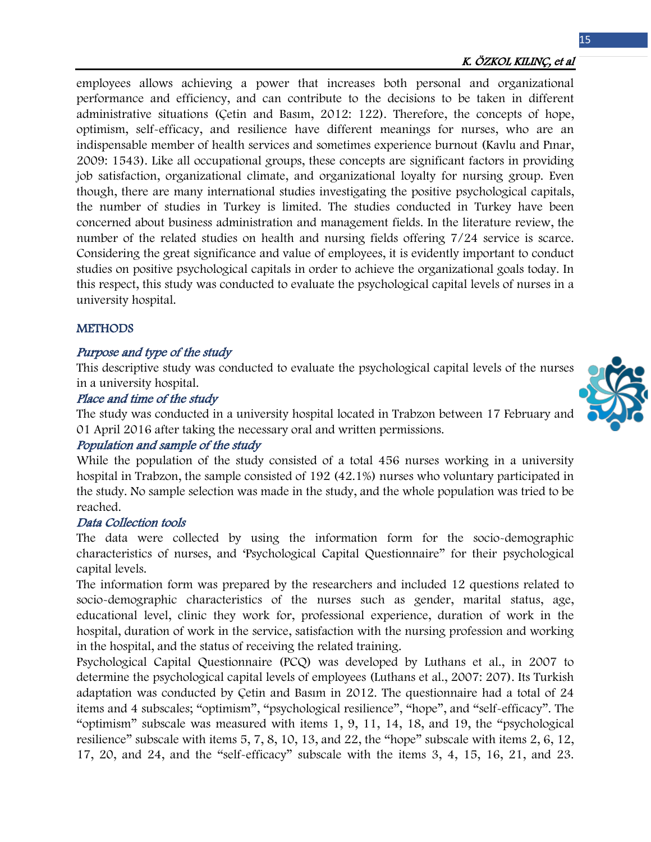## K. ÖZKOL KILINÇ, et al

employees allows achieving a power that increases both personal and organizational performance and efficiency, and can contribute to the decisions to be taken in different administrative situations (Çetin and Basım, 2012: 122). Therefore, the concepts of hope, optimism, self-efficacy, and resilience have different meanings for nurses, who are an indispensable member of health services and sometimes experience burnout (Kavlu and Pınar, 2009: 1543). Like all occupational groups, these concepts are significant factors in providing job satisfaction, organizational climate, and organizational loyalty for nursing group. Even though, there are many international studies investigating the positive psychological capitals, the number of studies in Turkey is limited. The studies conducted in Turkey have been concerned about business administration and management fields. In the literature review, the number of the related studies on health and nursing fields offering 7/24 service is scarce. Considering the great significance and value of employees, it is evidently important to conduct studies on positive psychological capitals in order to achieve the organizational goals today. In this respect, this study was conducted to evaluate the psychological capital levels of nurses in a university hospital.

#### **METHODS**

# Purpose and type of the study

This descriptive study was conducted to evaluate the psychological capital levels of the nurses in a university hospital.

#### Place and time of the study

The study was conducted in a university hospital located in Trabzon between 17 February and 01 April 2016 after taking the necessary oral and written permissions.

## Population and sample of the study

While the population of the study consisted of a total 456 nurses working in a university hospital in Trabzon, the sample consisted of 192 (42.1%) nurses who voluntary participated in the study. No sample selection was made in the study, and the whole population was tried to be reached.

#### Data Collection tools

The data were collected by using the information form for the socio-demographic characteristics of nurses, and 'Psychological Capital Questionnaire" for their psychological capital levels.

The information form was prepared by the researchers and included 12 questions related to socio-demographic characteristics of the nurses such as gender, marital status, age, educational level, clinic they work for, professional experience, duration of work in the hospital, duration of work in the service, satisfaction with the nursing profession and working in the hospital, and the status of receiving the related training.

Psychological Capital Questionnaire (PCQ) was developed by Luthans et al., in 2007 to determine the psychological capital levels of employees (Luthans et al., 2007: 207). Its Turkish adaptation was conducted by Çetin and Basım in 2012. The questionnaire had a total of 24 items and 4 subscales; "optimism", "psychological resilience", "hope", and "self-efficacy". The "optimism" subscale was measured with items 1, 9, 11, 14, 18, and 19, the "psychological resilience" subscale with items 5, 7, 8, 10, 13, and 22, the "hope" subscale with items 2, 6, 12, 17, 20, and 24, and the "self-efficacy" subscale with the items 3, 4, 15, 16, 21, and 23.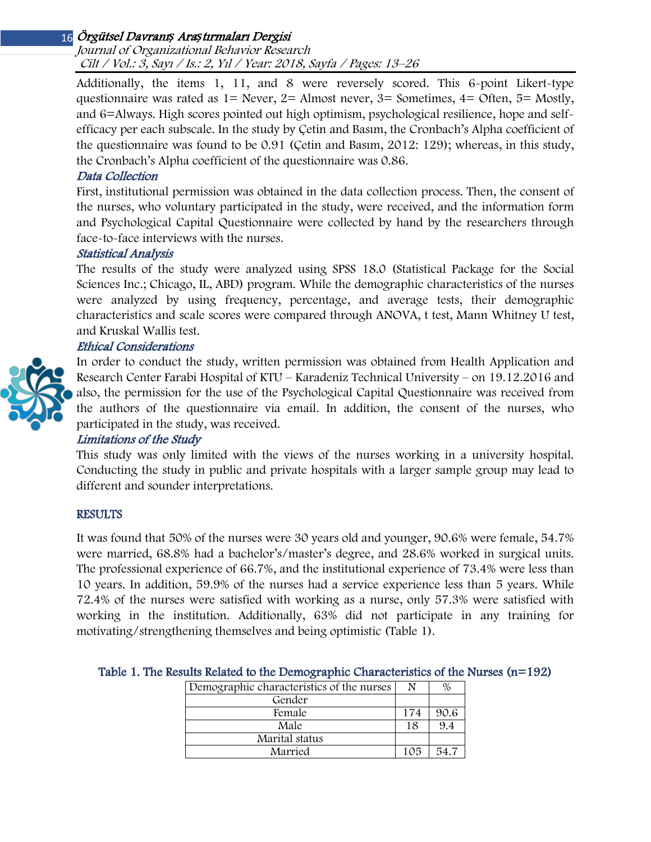Journal of Organizational Behavior Research Cilt / Vol.: 3, Sayı / Is.: 2, Yıl / Year: 2018, Sayfa / Pages: 13–26

Additionally, the items 1, 11, and 8 were reversely scored. This 6-point Likert-type questionnaire was rated as  $1=$  Never,  $2=$  Almost never,  $3=$  Sometimes,  $4=$  Often,  $5=$  Mostly, and 6=Always. High scores pointed out high optimism, psychological resilience, hope and selfefficacy per each subscale. In the study by Çetin and Basım, the Cronbach's Alpha coefficient of the questionnaire was found to be 0.91 (Çetin and Basım, 2012: 129); whereas, in this study, the Cronbach's Alpha coefficient of the questionnaire was 0.86.

## Data Collection

First, institutional permission was obtained in the data collection process. Then, the consent of the nurses, who voluntary participated in the study, were received, and the information form and Psychological Capital Questionnaire were collected by hand by the researchers through face-to-face interviews with the nurses.

## Statistical Analysis

The results of the study were analyzed using SPSS 18.0 (Statistical Package for the Social Sciences Inc.; Chicago, IL, ABD) program. While the demographic characteristics of the nurses were analyzed by using frequency, percentage, and average tests, their demographic characteristics and scale scores were compared through ANOVA, t test, Mann Whitney U test, and Kruskal Wallis test.

## Ethical Consideration<sup>s</sup>



In order to conduct the study, written permission was obtained from Health Application and Research Center Farabi Hospital of KTU – Karadeniz Technical University – on 19.12.2016 and also, the permission for the use of the Psychological Capital Questionnaire was received from the authors of the questionnaire via email. In addition, the consent of the nurses, who participated in the study, was received.

## Limitations of the Study

This study was only limited with the views of the nurses working in a university hospital. Conducting the study in public and private hospitals with a larger sample group may lead to different and sounder interpretations.

## **RESULTS**

It was found that 50% of the nurses were 30 years old and younger, 90.6% were female, 54.7% were married, 68.8% had a bachelor's/master's degree, and 28.6% worked in surgical units. The professional experience of 66.7%, and the institutional experience of 73.4% were less than 10 years. In addition, 59.9% of the nurses had a service experience less than 5 years. While 72.4% of the nurses were satisfied with working as a nurse, only 57.3% were satisfied with working in the institution. Additionally, 63% did not participate in any training for motivating/strengthening themselves and being optimistic (Table 1).

| Demographic characteristics of the nurses |     |      |
|-------------------------------------------|-----|------|
| Gender                                    |     |      |
| Female                                    | 174 | 90.6 |
| Male                                      |     | 9.4  |
| Marital status                            |     |      |
| Married                                   | 105 |      |

## Table 1. The Results Related to the Demographic Characteristics of the Nurses  $(n=192)$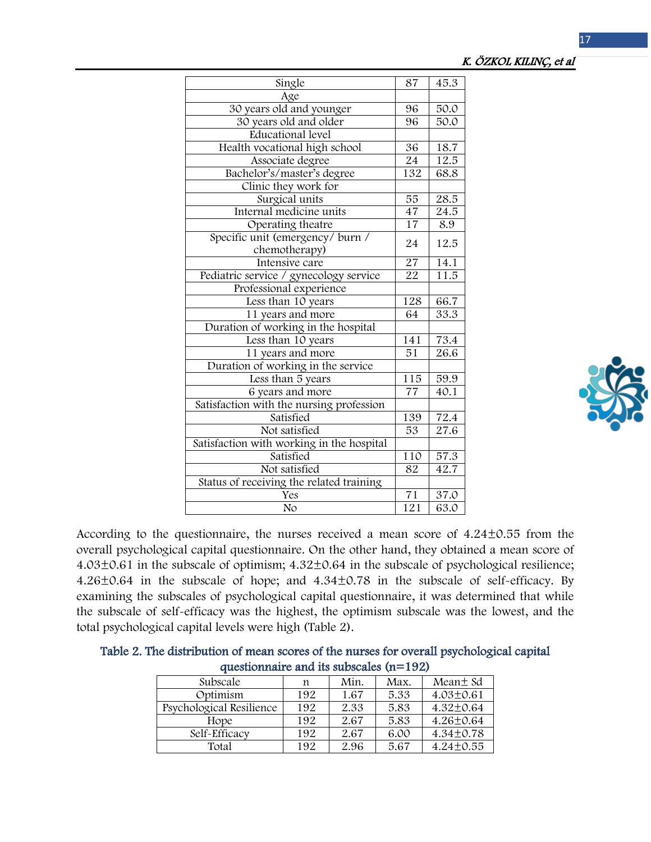## K. ÖZKOL KILINÇ, et al

| Single                                    | 87              | 45.3              |
|-------------------------------------------|-----------------|-------------------|
| Age                                       |                 |                   |
| 30 years old and younger                  | 96              | 50.0              |
| 30 years old and older                    | 96              | 50.0              |
| Educational level                         |                 |                   |
| Health vocational high school             | 36              | 18.7              |
| Associate degree                          | 24              | 12.5              |
| Bachelor's/master's degree                | 132             | 68.8              |
| Clinic they work for                      |                 |                   |
| Surgical units                            | $\overline{55}$ | 28.5              |
| Internal medicine units                   | 47              | $\frac{24.5}{5}$  |
| Operating theatre                         | 17              | 8.9               |
| Specific unit (emergency/burn /           | 24              | 12.5              |
| chemotherapy)                             |                 |                   |
| Intensive care                            | $\overline{27}$ | 14.1              |
| Pediatric service / gynecology service    | 22              | 11.5              |
| Professional experience                   |                 |                   |
| Less than 10 years                        | 128             | 66.7              |
| 11 years and more                         | 64              | 33.3              |
| Duration of working in the hospital       |                 |                   |
| Less than 10 years                        | 141             | 73.4              |
| 11 years and more                         | 51              | 26.6              |
| Duration of working in the service        |                 |                   |
| Less than 5 years                         | 115             | 59.9              |
| 6 years and more                          | 77              | 40.1              |
| Satisfaction with the nursing profession  |                 |                   |
| Satisfied                                 | 139             | 72.4              |
| Not satisfied                             | $\overline{53}$ | $\overline{27.6}$ |
| Satisfaction with working in the hospital |                 |                   |
| Satisfied                                 | 110             | $57.\overline{3}$ |
| Not satisfied                             | 82              | 42.7              |
| Status of receiving the related training  |                 |                   |
| Yes                                       | $\overline{71}$ | 37.0              |
| No                                        | 121             | 63.0              |
|                                           |                 |                   |



According to the questionnaire, the nurses received a mean score of 4.24±0.55 from the overall psychological capital questionnaire. On the other hand, they obtained a mean score of 4.03±0.61 in the subscale of optimism; 4.32±0.64 in the subscale of psychological resilience; 4.26±0.64 in the subscale of hope; and 4.34±0.78 in the subscale of self-efficacy. By examining the subscales of psychological capital questionnaire, it was determined that while the subscale of self-efficacy was the highest, the optimism subscale was the lowest, and the total psychological capital levels were high (Table 2).

| Table 2. The distribution of mean scores of the nurses for overall psychological capital |                                           |  |  |  |
|------------------------------------------------------------------------------------------|-------------------------------------------|--|--|--|
|                                                                                          | questionnaire and its subscales $(n=192)$ |  |  |  |

| Subscale                 | n   | Min. | Max. | Mean t Sd       |
|--------------------------|-----|------|------|-----------------|
| Optimism                 | 192 | 1.67 | 5.33 | $4.03 \pm 0.61$ |
| Psychological Resilience | 192 | 2.33 | 5.83 | $4.32 \pm 0.64$ |
| Hope                     | 192 | 2.67 | 5.83 | 4.26±0.64       |
| Self-Efficacy            | 192 | 2.67 | 6.00 | 4.34±0.78       |
| Total                    | 192 | 2.96 | 5.67 | $4.24 \pm 0.55$ |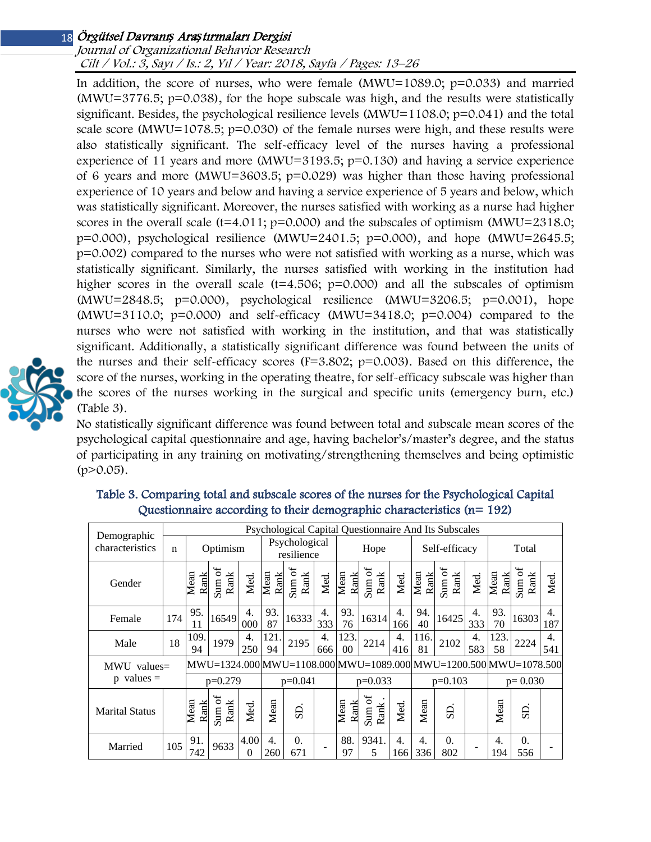#### Journal of Organizational Behavior Research Cilt / Vol.: 3, Sayı / Is.: 2, Yıl / Year: 2018, Sayfa / Pages: 13–26

In addition, the score of nurses, who were female  $(MWU=1089.0; p=0.033)$  and married  $(MWU=3776.5; p=0.038)$ , for the hope subscale was high, and the results were statistically significant. Besides, the psychological resilience levels (MWU=1108.0;  $p=0.041$ ) and the total scale score (MWU=1078.5;  $p=0.030$ ) of the female nurses were high, and these results were also statistically significant. The self-efficacy level of the nurses having a professional experience of 11 years and more (MWU=3193.5; p=0.130) and having a service experience of 6 years and more (MWU=3603.5; p=0.029) was higher than those having professional experience of 10 years and below and having a service experience of 5 years and below, which was statistically significant. Moreover, the nurses satisfied with working as a nurse had higher scores in the overall scale  $(t=4.011; p=0.000)$  and the subscales of optimism (MWU=2318.0;  $p=0.000$ , psychological resilience (MWU=2401.5;  $p=0.000$ ), and hope (MWU=2645.5; p=0.002) compared to the nurses who were not satisfied with working as a nurse, which was statistically significant. Similarly, the nurses satisfied with working in the institution had higher scores in the overall scale  $(t=4.506; p=0.000)$  and all the subscales of optimism  $(MWU=2848.5; p=0.000)$ , psychological resilience  $(MWU=3206.5; p=0.001)$ , hope  $(MWU=3110.0; p=0.000)$  and self-efficacy  $(MWU=3418.0; p=0.004)$  compared to the nurses who were not satisfied with working in the institution, and that was statistically significant. Additionally, a statistically significant difference was found between the units of the nurses and their self-efficacy scores  $(F=3.802; p=0.003)$ . Based on this difference, the score of the nurses, working in the operating theatre, for self-efficacy subscale was higher than the scores of the nurses working in the surgical and specific units (emergency burn, etc.) (Table 3).

No statistically significant difference was found between total and subscale mean scores of the psychological capital questionnaire and age, having bachelor's/master's degree, and the status of participating in any training on motivating/strengthening themselves and being optimistic  $(p>0.05)$ .

|                                |     |              |                                                  |                             |                                                                  |                               |                         | Psychological Capital Questionnaire And Its Subscales |                                                               |                         |                         |                                     |           |                         |                |           |
|--------------------------------|-----|--------------|--------------------------------------------------|-----------------------------|------------------------------------------------------------------|-------------------------------|-------------------------|-------------------------------------------------------|---------------------------------------------------------------|-------------------------|-------------------------|-------------------------------------|-----------|-------------------------|----------------|-----------|
| Demographic<br>characteristics | n   | Optimism     |                                                  | Psychological<br>resilience |                                                                  |                               | Hope                    |                                                       |                                                               |                         | Self-efficacy           |                                     | Total     |                         |                |           |
| Gender                         |     | Mean         | $\frac{\text{Rank}}{\text{Sum of}}{\text{Rank}}$ | Med.                        | Mean<br>Rank                                                     | $\operatorname*{Sum}$ of Rank | Med.                    | Mean<br>Rank                                          | $\operatorname*{Sum}$ of Rank                                 | Med.                    | Mean<br>Rank            | $\frac{\text{Sum of}}{\text{Rank}}$ | Med.      | Mean<br>Rank            | Sum of<br>Rank | Med.      |
| Female                         | 174 | 95.<br>11    | 16549                                            | 4.<br>000                   | 93.<br>87                                                        | 16333                         | 4.<br>333               | 93.<br>76                                             | 16314                                                         | 4.<br>166               | 94.<br>40               | 16425                               | 4.<br>333 | 93.<br>70               | 16303          | 4.<br>187 |
| Male                           | 18  | 109.<br>94   | 1979                                             | 4.<br>250                   | 121.<br>94                                                       | 2195                          | $\overline{4}$ .<br>666 | 123.<br>00                                            | 2214                                                          | 4.<br>416               | 116.<br>81              | 2102                                | 4.<br>583 | 123.<br>58              | 2224           | 4.<br>541 |
| $MWU$ values=                  |     |              |                                                  |                             | MWU=1324.000 MWU=1108.000 MWU=1089.000 MWU=1200.500 MWU=1078.500 |                               |                         |                                                       |                                                               |                         |                         |                                     |           |                         |                |           |
| $p$ values =                   |     |              | $p=0.279$                                        |                             | $p=0.041$                                                        |                               |                         | $p=0.033$                                             |                                                               |                         |                         | $p=0.103$                           |           | $p=0.030$               |                |           |
| <b>Marital Status</b>          |     | Mean<br>Rank | Sum of<br>$\rm{Rank}$                            | Med.                        | Mean                                                             | SD.                           |                         | Mean<br>Rank                                          | $\begin{array}{c} \textrm{Sum of}\\ \textrm{Rank}\end{array}$ | Med.                    | Mean                    | <b>GS</b>                           |           | Mean                    | $\overline{S}$ |           |
| Married                        | 105 | 91.<br>742   | 9633                                             | 4.00<br>0                   | $\overline{4}$ .<br>260                                          | $\Omega$ .<br>671             |                         | 88.<br>97                                             | 9341.<br>5                                                    | $\overline{4}$ .<br>166 | $\overline{4}$ .<br>336 | $\Omega$ .<br>802                   |           | $\overline{4}$ .<br>194 | 0.<br>556      |           |

| Table 3. Comparing total and subscale scores of the nurses for the Psychological Capital |
|------------------------------------------------------------------------------------------|
| Questionnaire according to their demographic characteristics $(n=192)$                   |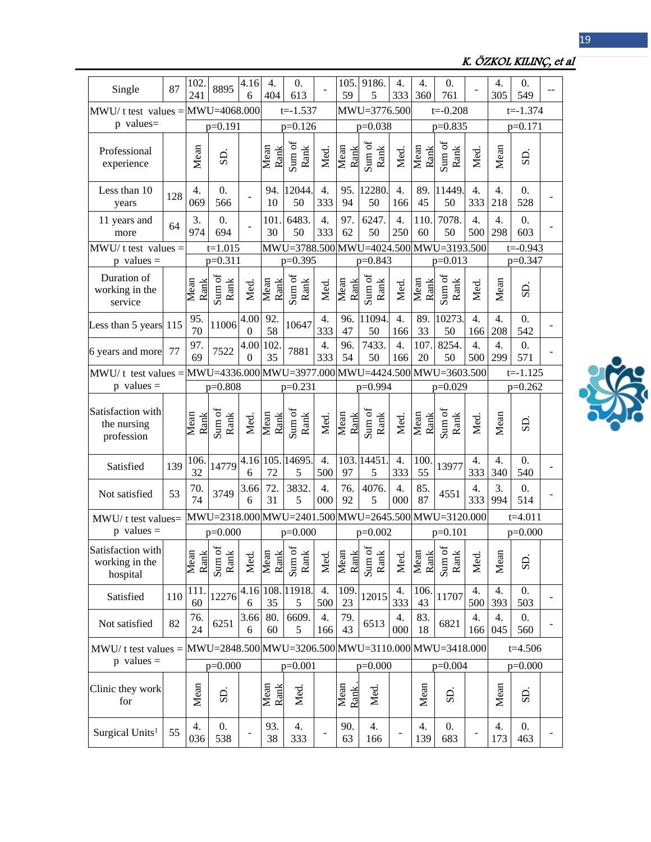| Single                                          | 87        | 102.<br>241  | 8895                                        | 4.16<br>6        | 4.<br>404                                           | 0.<br>613                              |                         | 105.<br>59   | 9186.<br>5                     | 4.<br>333               | 4.<br>360    | 0.<br>761                                              |                         | 4.<br>305               | 0.<br>549               |  |
|-------------------------------------------------|-----------|--------------|---------------------------------------------|------------------|-----------------------------------------------------|----------------------------------------|-------------------------|--------------|--------------------------------|-------------------------|--------------|--------------------------------------------------------|-------------------------|-------------------------|-------------------------|--|
| $MWU/t$ test values = $MWU=4068.000$            |           |              | $t = -1.537$                                |                  |                                                     | MWU=3776.500                           |                         |              |                                | $t = -0.208$            |              | $t = -1.374$                                           |                         |                         |                         |  |
| p values=                                       | $p=0.191$ |              |                                             |                  | $p=0.126$                                           |                                        |                         | $p=0.038$    |                                |                         |              | $p=0.835$                                              |                         | $p=0.171$               |                         |  |
| Professional<br>experience                      |           | Mean         | S <sub>D</sub>                              |                  | Mean<br>Rank                                        | Sum of<br>Rank                         | Med.                    | Mean<br>Rank | Sum of<br>Rank                 | Med.                    | Mean<br>Rank | Sum of<br>Rank                                         | Med.                    | Mean                    | SD.                     |  |
| Less than 10<br>years                           | 128       | 4.<br>069    | $\theta$ .<br>566                           |                  | 94.<br>10                                           | 12044<br>50                            | 4.<br>333               | 95.<br>94    | 12280<br>50                    | 4.<br>166               | 89.<br>45    | 11449<br>50                                            | 4.<br>333               | 4.<br>218               | $\theta$ .<br>528       |  |
| 11 years and<br>more                            | 64        | 3.<br>974    | $\overline{0}$ .<br>694                     |                  | 101<br>30                                           | 6483.<br>50                            | 4.<br>333               | 97.<br>62    | 6247.<br>50                    | 4.<br>250               | 110.<br>60   | 7078.<br>50                                            | 4.<br>500               | $\overline{4}$ .<br>298 | 0.<br>603               |  |
| $MWU/t$ test values =                           |           |              | $t=1.015$                                   |                  |                                                     | MWU=3788.500 MWU=4024.500 MWU=3193.500 |                         |              |                                |                         |              |                                                        |                         | $t = -0.943$            |                         |  |
| $p$ values =                                    |           |              | $p=0.311$                                   |                  |                                                     | $p=0.395$                              |                         |              | p=0.843                        |                         |              | $p=0.013$                                              |                         |                         | $p=0.347$               |  |
| Duration of<br>working in the<br>service        |           | Mean<br>Rank | Sum of<br>Rank                              | Med.             | Mean<br>Rank                                        | Sum of<br>Rank                         | Med.                    | Mean<br>Rank | Sum of<br>Rank                 | Med.                    | Mean<br>Rank | Sum of<br>Rank                                         | Med.                    | Mean                    | S <sub>D</sub>          |  |
| Less than 5 years 115                           |           | 95.<br>70    | 11006                                       | 4.00<br>$\theta$ | 92.<br>58                                           | 10647                                  | 4.<br>333               | 96.<br>47    | 11094<br>50                    | 4.<br>166               | 89.<br>33    | 10273<br>50                                            | $\overline{4}$ .<br>166 | $\overline{4}$ .<br>208 | 0.<br>542               |  |
| 6 years and more                                | 77        | 97.<br>69    | 7522                                        | 4.00<br>$\theta$ | 102<br>35                                           | 7881                                   | $\overline{4}$ .<br>333 | 96.<br>54    | 7433.<br>50                    | $\overline{4}$ .<br>166 | 107.<br>20   | 8254.<br>50                                            | 4.<br>500               | 4.<br>299               | $\overline{0}$ .<br>571 |  |
| $MWU/t$ test values =                           |           |              |                                             |                  | MWU=4336.000 MWU=3977.000 MWU=4424.500 MWU=3603.500 |                                        |                         |              |                                |                         |              |                                                        |                         | $t = -1.125$            |                         |  |
| $p$ values =                                    |           | $p=0.808$    |                                             |                  | $p=0.231$                                           |                                        |                         | p=0.994      |                                |                         | $p=0.029$    |                                                        |                         | $p=0.262$               |                         |  |
| Satisfaction with<br>the nursing<br>profession  |           | Mean<br>Rank | Sum of<br>$\rm{Rank}$                       | Med.             | Mean<br>Rank                                        | Sum of<br>Rank                         | Med.                    | Mean<br>Rank | Sum of<br>Rank                 | Med.                    | Mean<br>Rank | Sum of<br>Rank                                         | Med.                    | Mean                    | SD                      |  |
| Satisfied                                       | 139       | 106.<br>32   | 14779                                       | 6                | 72                                                  | 4.16 105. 14695.<br>5                  | 4.<br>500               | 97           | 103. 14451<br>5                | 4.<br>333               | 100.<br>55   | 13977                                                  | 4.<br>333               | 4.<br>340               | 0.<br>540               |  |
| Not satisfied                                   | 53        | 70.<br>74    | 3749                                        | 3.66<br>6        | 72.<br>31                                           | 3832.<br>5                             | 4.<br>000               | 76.<br>92    | 4076.<br>5                     | 4.<br>000               | 85.<br>87    | 4551                                                   | 4.<br>333               | 3.<br>994               | $\overline{0}$ .<br>514 |  |
| MWU/t test values=                              |           |              |                                             |                  | MWU=2318.000 MWU=2401.500 MWU=2645.500 MWU=3120.000 |                                        |                         |              |                                |                         |              |                                                        |                         | $t=4.011$               |                         |  |
| $p$ values =                                    |           |              | $p=0.000$                                   |                  | $p=0.000$                                           |                                        |                         | $p=0.002$    |                                |                         | $p=0.101$    |                                                        |                         | $p=0.000$               |                         |  |
| Satisfaction with<br>working in the<br>hospital |           | Mean<br>Rank | $\sigma_{\frac{1}{2}}$<br>$\frac{Sum}{Ram}$ | Med.             |                                                     | Mean<br>Rank<br>Jum of<br>Rank         | Med.                    |              | Mean<br>Rank<br>Sum of<br>Rank | Med.                    | Mean<br>Rank | $\beta$<br>$\mathbf{\underline{\times}}$<br>Sum<br>Ran | Med                     | Mean                    | SD                      |  |
| Satisfied                                       | 110       | 111<br>60    | 12276                                       | 4.16<br>6        | 35                                                  | 108.11918.<br>5                        | 4.<br>500               | 109.<br>23   | 12015                          | 4.<br>333               | 106.<br>43   | 11707                                                  | 4.<br>500               | 4.<br>393               | 0.<br>503               |  |
| Not satisfied                                   | 82        | 76.<br>24    | 6251                                        | 3.66<br>6        | 80.<br>60                                           | 6609.<br>5                             | 4.<br>166               | 79.<br>43    | 6513                           | 4.<br>000               | 83.<br>18    | 6821                                                   | 4.<br>166               | 4.<br>045               | $\theta$ .<br>560       |  |
| $M W U/t$ test values =                         |           |              |                                             |                  | MWU=2848.500 MWU=3206.500 MWU=3110.000 MWU=3418.000 |                                        |                         |              |                                |                         |              |                                                        |                         |                         | $t = 4.506$             |  |
| $p$ values =                                    |           |              | $p=0.000$                                   |                  | $p=0.001$                                           |                                        |                         | $p=0.000$    |                                |                         | $p=0.004$    |                                                        |                         | $p=0.000$               |                         |  |
| Clinic they work<br>for                         |           | Mean         | S <sub>D</sub>                              |                  | Mean<br>Rank                                        | Med.                                   |                         | Mean<br>Rank | Med.                           |                         | Mean         | $\overline{S}$                                         |                         | Mean                    | $_{\rm{dS}}$            |  |
| Surgical Units <sup>1</sup>                     | 55        | 4.<br>036    | 0.<br>538                                   |                  | 93.<br>38                                           | 4.<br>333                              |                         | 90.<br>63    | 4.<br>166                      |                         | 4.<br>139    | 0.<br>683                                              |                         | 4.<br>173               | $\overline{0}$ .<br>463 |  |



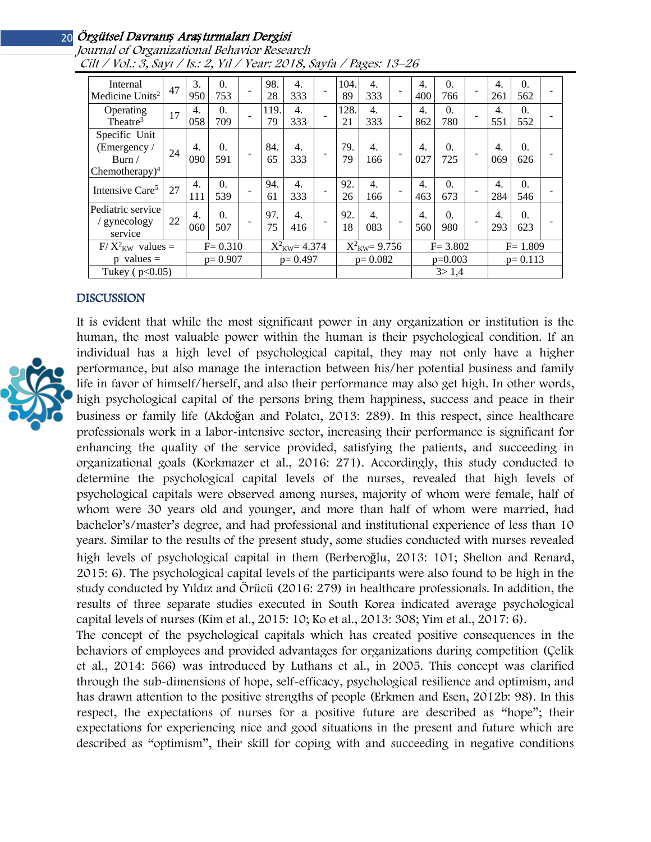| Internal<br>Medicine Units <sup>2</sup>                      | 47 | 3.<br>950   | $\theta$ .<br>753 |                         | 98.<br>28  | $\overline{4}$ .<br>333   |  | 104.<br>89 | $\overline{4}$ .<br>333 |  | 4.<br>400 | $\theta$ .<br>766 |                          | $\overline{4}$ .<br>261 | 0.<br>562         |  |
|--------------------------------------------------------------|----|-------------|-------------------|-------------------------|------------|---------------------------|--|------------|-------------------------|--|-----------|-------------------|--------------------------|-------------------------|-------------------|--|
| Operating<br>Theatre <sup>3</sup>                            | 17 | 4.<br>058   | $\Omega$ .<br>709 |                         | 119.<br>79 | $\overline{4}$ .<br>333   |  | 128.<br>21 | $\overline{4}$ .<br>333 |  | 4.<br>862 | 0.<br>780         |                          | $\overline{4}$ .<br>551 | $\theta$ .<br>552 |  |
| Specific Unit<br>(Emergency /<br>Burn/<br>Chemotherapy $)^4$ | 24 | 4.<br>090   | $\Omega$ .<br>591 |                         | 84.<br>65  | $\overline{4}$ .<br>333   |  | 79.<br>79  | 4.<br>166               |  | 4.<br>027 | $\Omega$ .<br>725 | $\overline{\phantom{a}}$ | 4.<br>069               | $\theta$ .<br>626 |  |
| Intensive Care <sup>5</sup>                                  | 27 | 4.<br>111   | $\Omega$ .<br>539 |                         | 94.<br>61  | $\overline{4}$ .<br>333   |  | 92.<br>26  | $\overline{4}$ .<br>166 |  | 4.<br>463 | $\Omega$ .<br>673 |                          | 4.<br>284               | $\theta$ .<br>546 |  |
| Pediatric service<br>/ gynecology<br>service                 | 22 | 4.<br>060   | $\theta$ .<br>507 |                         | 97.<br>75  | 4.<br>416                 |  | 92.<br>18  | $\overline{4}$ .<br>083 |  | 4.<br>560 | $\theta$ .<br>980 |                          | 4.<br>293               | $\theta$ .<br>623 |  |
| $F/X^2_{KW}$ values =                                        |    | $F = 0.310$ |                   | $X^2_{\text{KW}}=4.374$ |            | $X^2_{\text{KW}} = 9.756$ |  |            | $F = 3.802$             |  |           | $F = 1.809$       |                          |                         |                   |  |
| $p$ values =                                                 |    | $p = 0.907$ |                   | $p = 0.497$             |            | $p=0.082$                 |  |            | $p=0.003$               |  |           | $p = 0.113$       |                          |                         |                   |  |
| Tukey ( $p<0.05$ )                                           |    |             |                   |                         |            |                           |  |            |                         |  | 3 > 1.4   |                   |                          |                         |                   |  |

Journal of Organizational Behavior Research Cilt / Vol.: 3, Sayı / Is.: 2, Yıl / Year: 2018, Sayfa / Pages: 13–26

#### DISCUSSION



It is evident that while the most significant power in any organization or institution is the human, the most valuable power within the human is their psychological condition. If an individual has a high level of psychological capital, they may not only have a higher performance, but also manage the interaction between his/her potential business and family life in favor of himself/herself, and also their performance may also get high. In other words, high psychological capital of the persons bring them happiness, success and peace in their business or family life (Akdoğan and Polatcı, 2013: 289). In this respect, since healthcare professionals work in a labor-intensive sector, increasing their performance is significant for enhancing the quality of the service provided, satisfying the patients, and succeeding in organizational goals (Korkmazer et al., 2016: 271). Accordingly, this study conducted to determine the psychological capital levels of the nurses, revealed that high levels of psychological capitals were observed among nurses, majority of whom were female, half of whom were 30 years old and younger, and more than half of whom were married, had bachelor's/master's degree, and had professional and institutional experience of less than 10 years. Similar to the results of the present study, some studies conducted with nurses revealed high levels of psychological capital in them (Berberoğlu, 2013: 101; Shelton and Renard, 2015: 6). The psychological capital levels of the participants were also found to be high in the study conducted by Yıldız and Örücü (2016: 279) in healthcare professionals. In addition, the results of three separate studies executed in South Korea indicated average psychological capital levels of nurses (Kim et al., 2015: 10; Ko et al., 2013: 308; Yim et al., 2017: 6). The concept of the psychological capitals which has created positive consequences in the

behaviors of employees and provided advantages for organizations during competition (Çelik et al., 2014: 566) was introduced by Luthans et al., in 2005. This concept was clarified through the sub-dimensions of hope, self-efficacy, psychological resilience and optimism, and has drawn attention to the positive strengths of people (Erkmen and Esen, 2012b: 98). In this respect, the expectations of nurses for a positive future are described as "hope"; their expectations for experiencing nice and good situations in the present and future which are described as "optimism", their skill for coping with and succeeding in negative conditions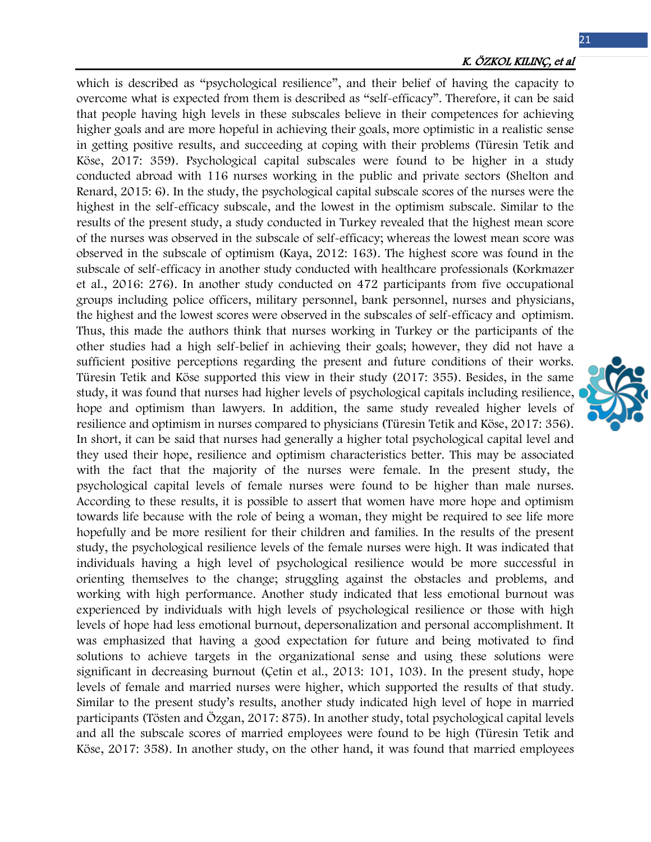21

which is described as "psychological resilience", and their belief of having the capacity to overcome what is expected from them is described as "self-efficacy". Therefore, it can be said that people having high levels in these subscales believe in their competences for achieving higher goals and are more hopeful in achieving their goals, more optimistic in a realistic sense in getting positive results, and succeeding at coping with their problems (Türesin Tetik and Köse, 2017: 359). Psychological capital subscales were found to be higher in a study conducted abroad with 116 nurses working in the public and private sectors (Shelton and Renard, 2015: 6). In the study, the psychological capital subscale scores of the nurses were the highest in the self-efficacy subscale, and the lowest in the optimism subscale. Similar to the results of the present study, a study conducted in Turkey revealed that the highest mean score of the nurses was observed in the subscale of self-efficacy; whereas the lowest mean score was observed in the subscale of optimism (Kaya, 2012: 163). The highest score was found in the subscale of self-efficacy in another study conducted with healthcare professionals (Korkmazer et al., 2016: 276). In another study conducted on 472 participants from five occupational groups including police officers, military personnel, bank personnel, nurses and physicians, the highest and the lowest scores were observed in the subscales of self-efficacy and optimism. Thus, this made the authors think that nurses working in Turkey or the participants of the other studies had a high self-belief in achieving their goals; however, they did not have a sufficient positive perceptions regarding the present and future conditions of their works. Türesin Tetik and Köse supported this view in their study (2017: 355). Besides, in the same study, it was found that nurses had higher levels of psychological capitals including resilience, hope and optimism than lawyers. In addition, the same study revealed higher levels of resilience and optimism in nurses compared to physicians (Türesin Tetik and Köse, 2017: 356). In short, it can be said that nurses had generally a higher total psychological capital level and they used their hope, resilience and optimism characteristics better. This may be associated with the fact that the majority of the nurses were female. In the present study, the psychological capital levels of female nurses were found to be higher than male nurses. According to these results, it is possible to assert that women have more hope and optimism towards life because with the role of being a woman, they might be required to see life more hopefully and be more resilient for their children and families. In the results of the present study, the psychological resilience levels of the female nurses were high. It was indicated that individuals having a high level of psychological resilience would be more successful in orienting themselves to the change; struggling against the obstacles and problems, and working with high performance. Another study indicated that less emotional burnout was experienced by individuals with high levels of psychological resilience or those with high levels of hope had less emotional burnout, depersonalization and personal accomplishment. It was emphasized that having a good expectation for future and being motivated to find solutions to achieve targets in the organizational sense and using these solutions were significant in decreasing burnout (Çetin et al., 2013: 101, 103). In the present study, hope levels of female and married nurses were higher, which supported the results of that study. Similar to the present study's results, another study indicated high level of hope in married participants (Tösten and Özgan, 2017: 875). In another study, total psychological capital levels and all the subscale scores of married employees were found to be high (Türesin Tetik and Köse, 2017: 358). In another study, on the other hand, it was found that married employees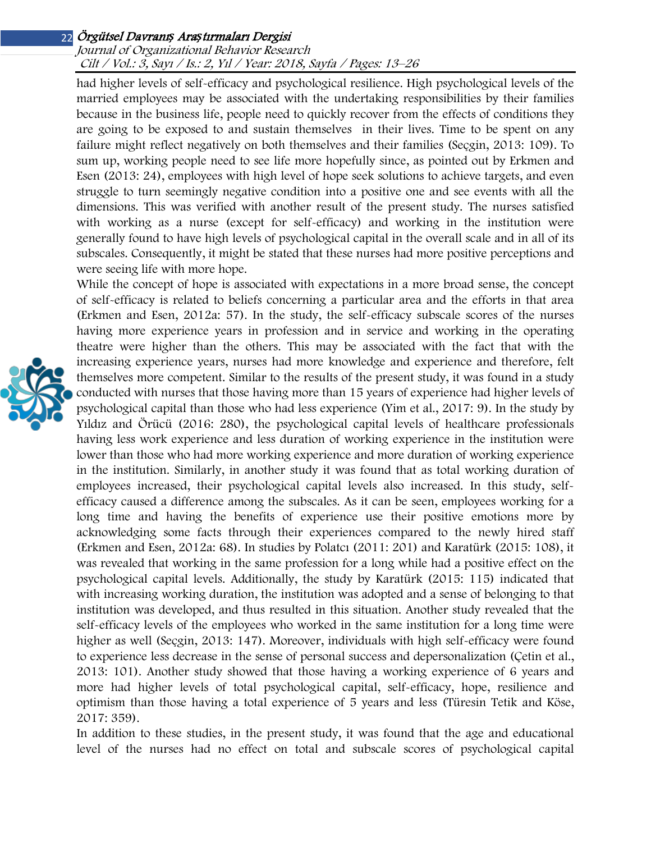## Journal of Organizational Behavior Research Cilt / Vol.: 3, Sayı / Is.: 2, Yıl / Year: 2018, Sayfa / Pages: 13–26

had higher levels of self-efficacy and psychological resilience. High psychological levels of the married employees may be associated with the undertaking responsibilities by their families because in the business life, people need to quickly recover from the effects of conditions they are going to be exposed to and sustain themselves in their lives. Time to be spent on any failure might reflect negatively on both themselves and their families (Seçgin, 2013: 109). To sum up, working people need to see life more hopefully since, as pointed out by Erkmen and Esen (2013: 24), employees with high level of hope seek solutions to achieve targets, and even struggle to turn seemingly negative condition into a positive one and see events with all the dimensions. This was verified with another result of the present study. The nurses satisfied with working as a nurse (except for self-efficacy) and working in the institution were generally found to have high levels of psychological capital in the overall scale and in all of its subscales. Consequently, it might be stated that these nurses had more positive perceptions and were seeing life with more hope.

While the concept of hope is associated with expectations in a more broad sense, the concept of self-efficacy is related to beliefs concerning a particular area and the efforts in that area (Erkmen and Esen, 2012a: 57). In the study, the self-efficacy subscale scores of the nurses having more experience years in profession and in service and working in the operating theatre were higher than the others. This may be associated with the fact that with the increasing experience years, nurses had more knowledge and experience and therefore, felt themselves more competent. Similar to the results of the present study, it was found in a study conducted with nurses that those having more than 15 years of experience had higher levels of psychological capital than those who had less experience (Yim et al., 2017: 9). In the study by Yıldız and Örücü (2016: 280), the psychological capital levels of healthcare professionals having less work experience and less duration of working experience in the institution were lower than those who had more working experience and more duration of working experience in the institution. Similarly, in another study it was found that as total working duration of employees increased, their psychological capital levels also increased. In this study, selfefficacy caused a difference among the subscales. As it can be seen, employees working for a long time and having the benefits of experience use their positive emotions more by acknowledging some facts through their experiences compared to the newly hired staff (Erkmen and Esen, 2012a: 68). In studies by Polatcı (2011: 201) and Karatürk (2015: 108), it was revealed that working in the same profession for a long while had a positive effect on the psychological capital levels. Additionally, the study by Karatürk (2015: 115) indicated that with increasing working duration, the institution was adopted and a sense of belonging to that institution was developed, and thus resulted in this situation. Another study revealed that the self-efficacy levels of the employees who worked in the same institution for a long time were higher as well (Seçgin, 2013: 147). Moreover, individuals with high self-efficacy were found to experience less decrease in the sense of personal success and depersonalization (Çetin et al., 2013: 101). Another study showed that those having a working experience of 6 years and more had higher levels of total psychological capital, self-efficacy, hope, resilience and optimism than those having a total experience of 5 years and less (Türesin Tetik and Köse, 2017: 359).

In addition to these studies, in the present study, it was found that the age and educational level of the nurses had no effect on total and subscale scores of psychological capital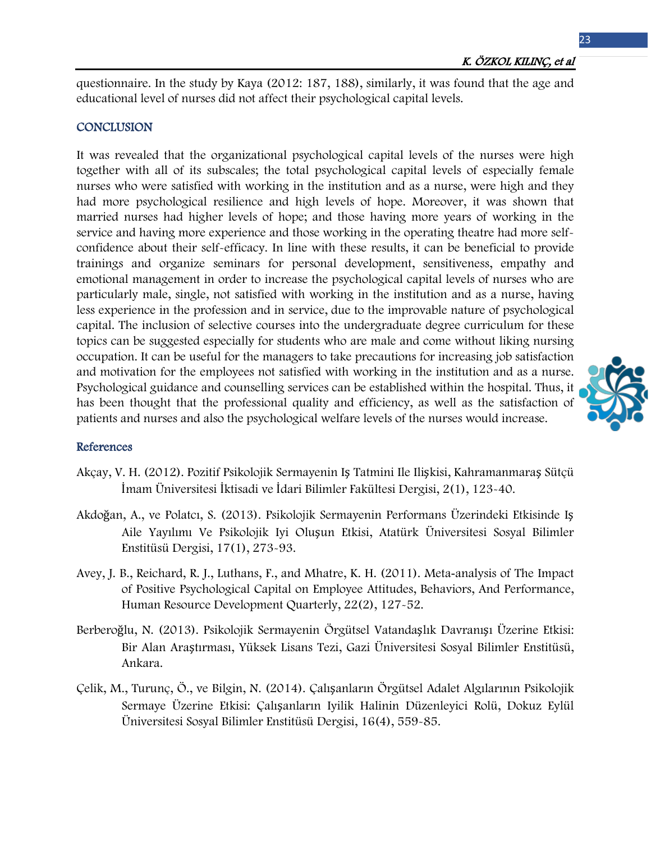questionnaire. In the study by Kaya (2012: 187, 188), similarly, it was found that the age and educational level of nurses did not affect their psychological capital levels.

## **CONCLUSION**

It was revealed that the organizational psychological capital levels of the nurses were high together with all of its subscales; the total psychological capital levels of especially female nurses who were satisfied with working in the institution and as a nurse, were high and they had more psychological resilience and high levels of hope. Moreover, it was shown that married nurses had higher levels of hope; and those having more years of working in the service and having more experience and those working in the operating theatre had more selfconfidence about their self-efficacy. In line with these results, it can be beneficial to provide trainings and organize seminars for personal development, sensitiveness, empathy and emotional management in order to increase the psychological capital levels of nurses who are particularly male, single, not satisfied with working in the institution and as a nurse, having less experience in the profession and in service, due to the improvable nature of psychological capital. The inclusion of selective courses into the undergraduate degree curriculum for these topics can be suggested especially for students who are male and come without liking nursing occupation. It can be useful for the managers to take precautions for increasing job satisfaction and motivation for the employees not satisfied with working in the institution and as a nurse. Psychological guidance and counselling services can be established within the hospital. Thus, it has been thought that the professional quality and efficiency, as well as the satisfaction of patients and nurses and also the psychological welfare levels of the nurses would increase.

#### References

- Akçay, V. H. (2012). Pozitif Psikolojik Sermayenin Iş Tatmini Ile Ilişkisi, Kahramanmaraş Sütçü İmam Üniversitesi İktisadi ve İdari Bilimler Fakültesi Dergisi, 2(1), 123-40.
- Akdoğan, A., ve Polatcı, S. (2013). Psikolojik Sermayenin Performans Üzerindeki Etkisinde Iş Aile Yayılımı Ve Psikolojik Iyi Oluşun Etkisi, Atatürk Üniversitesi Sosyal Bilimler Enstitüsü Dergisi, 17(1), 273-93.
- Avey, J. B., Reichard, R. J., Luthans, F., and Mhatre, K. H. (2011). Meta-analysis of The Impact of Positive Psychological Capital on Employee Attitudes, Behaviors, And Performance, Human Resource Development Quarterly, 22(2), 127-52.
- Berberoğlu, N. (2013). Psikolojik Sermayenin Örgütsel Vatandaşlık Davranışı Üzerine Etkisi: Bir Alan Araştırması, Yüksek Lisans Tezi, Gazi Üniversitesi Sosyal Bilimler Enstitüsü, Ankara.
- Çelik, M., Turunç, Ö., ve Bilgin, N. (2014). Çalışanların Örgütsel Adalet Algılarının Psikolojik Sermaye Üzerine Etkisi: Çalışanların Iyilik Halinin Düzenleyici Rolü, Dokuz Eylül Üniversitesi Sosyal Bilimler Enstitüsü Dergisi, 16(4), 559-85.

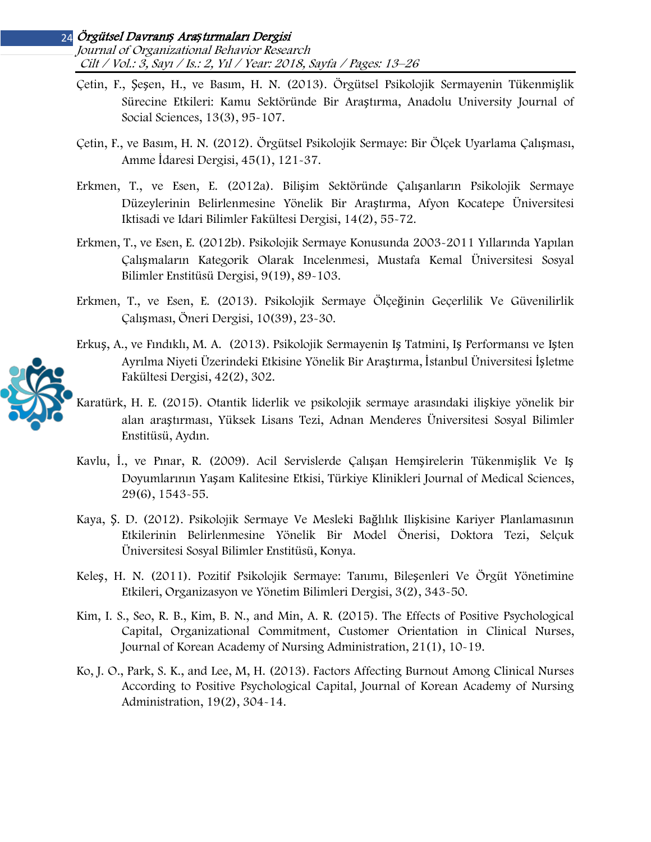#### Örgütsel Davranı*ş* Ara*ş*tırmaları Dergisi 24 Journal of Organizational Behavior Research Cilt / Vol.: 3, Sayı / Is.: 2, Yıl / Year: 2018, Sayfa / Pages: 13–26

- Çetin, F., Şeşen, H., ve Basım, H. N. (2013). Örgütsel Psikolojik Sermayenin Tükenmişlik Sürecine Etkileri: Kamu Sektöründe Bir Araştırma, Anadolu University Journal of Social Sciences, 13(3), 95-107.
- Çetin, F., ve Basım, H. N. (2012). Örgütsel Psikolojik Sermaye: Bir Ölçek Uyarlama Çalışması, Amme İdaresi Dergisi, 45(1), 121-37.
- Erkmen, T., ve Esen, E. (2012a). Bilişim Sektöründe Çalışanların Psikolojik Sermaye Düzeylerinin Belirlenmesine Yönelik Bir Araştırma, Afyon Kocatepe Üniversitesi Iktisadi ve Idari Bilimler Fakültesi Dergisi, 14(2), 55-72.
- Erkmen, T., ve Esen, E. (2012b). Psikolojik Sermaye Konusunda 2003-2011 Yıllarında Yapılan Çalışmaların Kategorik Olarak Incelenmesi, Mustafa Kemal Üniversitesi Sosyal Bilimler Enstitüsü Dergisi, 9(19), 89-103.
- Erkmen, T., ve Esen, E. (2013). Psikolojik Sermaye Ölçeğinin Geçerlilik Ve Güvenilirlik Çalışması, Öneri Dergisi, 10(39), 23-30.
- Erkuş, A., ve Fındıklı, M. A. (2013). Psikolojik Sermayenin Iş Tatmini, Iş Performansı ve Işten Ayrılma Niyeti Üzerindeki Etkisine Yönelik Bir Araştırma, İstanbul Üniversitesi İşletme Fakültesi Dergisi, 42(2), 302.
- Karatürk, H. E. (2015). Otantik liderlik ve psikolojik sermaye arasındaki ilişkiye yönelik bir alan araştırması, Yüksek Lisans Tezi, Adnan Menderes Üniversitesi Sosyal Bilimler Enstitüsü, Aydın.
- Kavlu, İ., ve Pınar, R. (2009). Acil Servislerde Çalışan Hemşirelerin Tükenmişlik Ve Iş Doyumlarının Yaşam Kalitesine Etkisi, Türkiye Klinikleri Journal of Medical Sciences, 29(6), 1543-55.
- Kaya, Ş. D. (2012). Psikolojik Sermaye Ve Mesleki Bağlılık Ilişkisine Kariyer Planlamasının Etkilerinin Belirlenmesine Yönelik Bir Model Önerisi, Doktora Tezi, Selçuk Üniversitesi Sosyal Bilimler Enstitüsü, Konya.
- Keleş, H. N. (2011). Pozitif Psikolojik Sermaye: Tanımı, Bileşenleri Ve Örgüt Yönetimine Etkileri, Organizasyon ve Yönetim Bilimleri Dergisi, 3(2), 343-50.
- Kim, I. S., Seo, R. B., Kim, B. N., and Min, A. R. (2015). The Effects of Positive Psychological Capital, Organizational Commitment, Customer Orientation in Clinical Nurses, Journal of Korean Academy of Nursing Administration, 21(1), 10-19.
- Ko, J. O., Park, S. K., and Lee, M, H. (2013). Factors Affecting Burnout Among Clinical Nurses According to Positive Psychological Capital, Journal of Korean Academy of Nursing Administration, 19(2), 304-14.

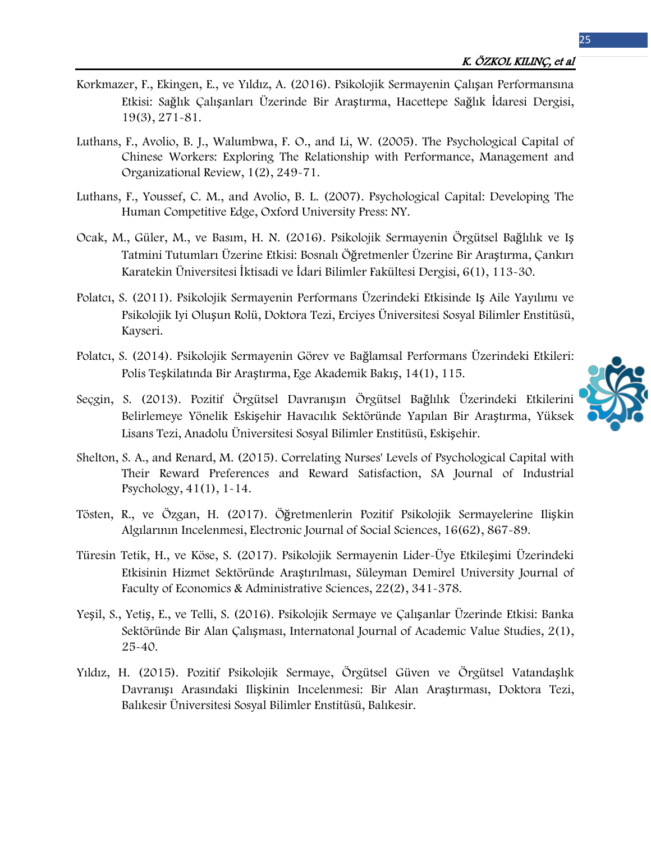- Korkmazer, F., Ekingen, E., ve Yıldız, A. (2016). Psikolojik Sermayenin Çalışan Performansına Etkisi: Sağlık Çalışanları Üzerinde Bir Araştırma, Hacettepe Sağlık İdaresi Dergisi, 19(3), 271-81.
- Luthans, F., Avolio, B. J., Walumbwa, F. O., and Li, W. (2005). The Psychological Capital of Chinese Workers: Exploring The Relationship with Performance, Management and Organizational Review, 1(2), 249-71.
- Luthans, F., Youssef, C. M., and Avolio, B. L. (2007). Psychological Capital: Developing The Human Competitive Edge, Oxford University Press: NY.
- Ocak, M., Güler, M., ve Basım, H. N. (2016). Psikolojik Sermayenin Örgütsel Bağlılık ve Iş Tatmini Tutumları Üzerine Etkisi: Bosnalı Öğretmenler Üzerine Bir Araştırma, Çankırı Karatekin Üniversitesi İktisadi ve İdari Bilimler Fakültesi Dergisi, 6(1), 113-30.
- Polatcı, S. (2011). Psikolojik Sermayenin Performans Üzerindeki Etkisinde Iş Aile Yayılımı ve Psikolojik Iyi Oluşun Rolü, Doktora Tezi, Erciyes Üniversitesi Sosyal Bilimler Enstitüsü, Kayseri.
- Polatcı, S. (2014). Psikolojik Sermayenin Görev ve Bağlamsal Performans Üzerindeki Etkileri: Polis Teşkilatında Bir Araştırma, Ege Akademik Bakış, 14(1), 115.
- Seçgin, S. (2013). Pozitif Örgütsel Davranışın Örgütsel Bağlılık Üzerindeki Etkilerini Belirlemeye Yönelik Eskişehir Havacılık Sektöründe Yapılan Bir Araştırma, Yüksek Lisans Tezi, Anadolu Üniversitesi Sosyal Bilimler Enstitüsü, Eskişehir.
- Shelton, S. A., and Renard, M. (2015). Correlating Nurses' Levels of Psychological Capital with Their Reward Preferences and Reward Satisfaction, SA Journal of Industrial Psychology, 41(1), 1-14.
- Tösten, R., ve Özgan, H. (2017). Öğretmenlerin Pozitif Psikolojik Sermayelerine Ilişkin Algılarının Incelenmesi, Electronic Journal of Social Sciences, 16(62), 867-89.
- Türesin Tetik, H., ve Köse, S. (2017). Psikolojik Sermayenin Lider-Üye Etkileşimi Üzerindeki Etkisinin Hizmet Sektöründe Araştırılması, Süleyman Demirel University Journal of Faculty of Economics & Administrative Sciences, 22(2), 341-378.
- Yeşil, S., Yetiş, E., ve Telli, S. (2016). Psikolojik Sermaye ve Çalışanlar Üzerinde Etkisi: Banka Sektöründe Bir Alan Çalışması, Internatonal Journal of Academic Value Studies, 2(1), 25-40.
- Yıldız, H. (2015). Pozitif Psikolojik Sermaye, Örgütsel Güven ve Örgütsel Vatandaşlık Davranışı Arasındaki Ilişkinin Incelenmesi: Bir Alan Araştırması, Doktora Tezi, Balıkesir Üniversitesi Sosyal Bilimler Enstitüsü, Balıkesir.